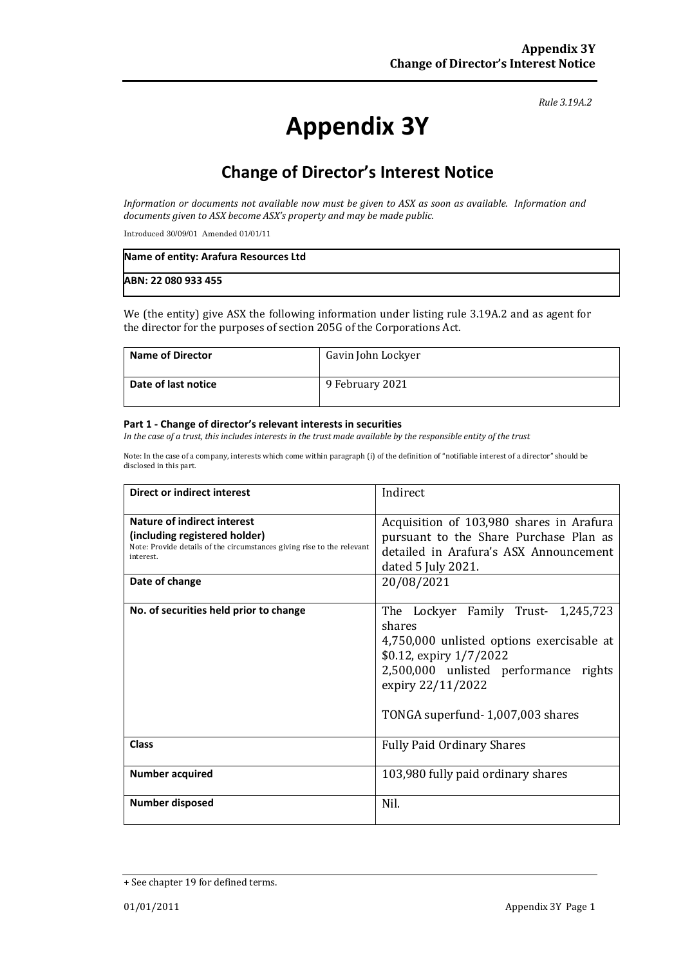*Rule 3.19A.2*

# **Appendix 3Y**

## **Change of Director's Interest Notice**

*Information or documents not available now must be given to ASX as soon as available. Information and documents given to ASX become ASX's property and may be made public.*

Introduced 30/09/01 Amended 01/01/11

| Name of entity: Arafura Resources Ltd |  |
|---------------------------------------|--|
| ABN: 22 080 933 455                   |  |

We (the entity) give ASX the following information under listing rule 3.19A.2 and as agent for the director for the purposes of section 205G of the Corporations Act.

| Name of Director    | Gavin John Lockyer |
|---------------------|--------------------|
| Date of last notice | 9 February 2021    |

#### **Part 1 - Change of director's relevant interests in securities**

*In the case of a trust, this includes interests in the trust made available by the responsible entity of the trust*

Note: In the case of a company, interests which come within paragraph (i) of the definition of "notifiable interest of a director" should be disclosed in this part.

| Direct or indirect interest                                                                                                                                           | Indirect                                                                                                                                                                                                                  |  |
|-----------------------------------------------------------------------------------------------------------------------------------------------------------------------|---------------------------------------------------------------------------------------------------------------------------------------------------------------------------------------------------------------------------|--|
| Nature of indirect interest<br>(including registered holder)<br>Note: Provide details of the circumstances giving rise to the relevant<br>interest.<br>Date of change | Acquisition of 103,980 shares in Arafura<br>pursuant to the Share Purchase Plan as<br>detailed in Arafura's ASX Announcement<br>dated $5 \mathrm{July} 2021$ .<br>20/08/2021                                              |  |
| No. of securities held prior to change                                                                                                                                | The Lockyer Family Trust- 1,245,723<br>shares<br>4,750,000 unlisted options exercisable at<br>\$0.12, expiry 1/7/2022<br>2,500,000 unlisted performance rights<br>expiry 22/11/2022<br>TONGA superfund - 1,007,003 shares |  |
| Class                                                                                                                                                                 | <b>Fully Paid Ordinary Shares</b>                                                                                                                                                                                         |  |
| <b>Number acquired</b>                                                                                                                                                | 103,980 fully paid ordinary shares                                                                                                                                                                                        |  |
| <b>Number disposed</b>                                                                                                                                                | Nil.                                                                                                                                                                                                                      |  |

<sup>+</sup> See chapter 19 for defined terms.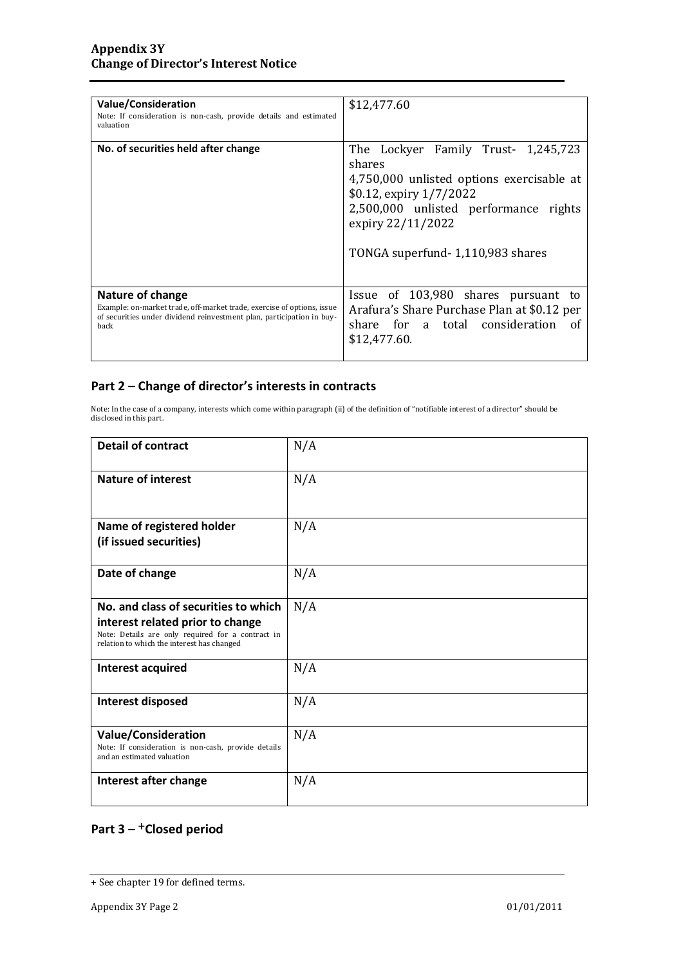| <b>Value/Consideration</b><br>Note: If consideration is non-cash, provide details and estimated<br>valuation                                                                       | \$12,477.60                                                                                                                                                                                                                 |
|------------------------------------------------------------------------------------------------------------------------------------------------------------------------------------|-----------------------------------------------------------------------------------------------------------------------------------------------------------------------------------------------------------------------------|
| No. of securities held after change                                                                                                                                                | The Lockyer Family Trust- 1,245,723<br>shares<br>4,750,000 unlisted options exercisable at<br>$$0.12$ , expiry $1/7/2022$<br>2,500,000 unlisted performance rights<br>expiry 22/11/2022<br>TONGA superfund-1,110,983 shares |
| <b>Nature of change</b><br>Example: on-market trade, off-market trade, exercise of options, issue<br>of securities under dividend reinvestment plan, participation in buy-<br>back | Issue of 103,980 shares pursuant to<br>Arafura's Share Purchase Plan at \$0.12 per<br>share for a total consideration of<br>\$12,477.60.                                                                                    |

#### **Part 2 – Change of director's interests in contracts**

Note: In the case of a company, interests which come within paragraph (ii) of the definition of "notifiable interest of a director" should be disclosed in this part.

| <b>Detail of contract</b>                                                                                                           | N/A |
|-------------------------------------------------------------------------------------------------------------------------------------|-----|
| <b>Nature of interest</b>                                                                                                           | N/A |
| Name of registered holder                                                                                                           | N/A |
| (if issued securities)                                                                                                              |     |
| Date of change                                                                                                                      | N/A |
| No. and class of securities to which                                                                                                | N/A |
| interest related prior to change<br>Note: Details are only required for a contract in<br>relation to which the interest has changed |     |
| Interest acquired                                                                                                                   | N/A |
| <b>Interest disposed</b>                                                                                                            | N/A |
| <b>Value/Consideration</b><br>Note: If consideration is non-cash, provide details<br>and an estimated valuation                     | N/A |
| Interest after change                                                                                                               | N/A |

### **Part 3 –** +**Closed period**

<sup>+</sup> See chapter 19 for defined terms.